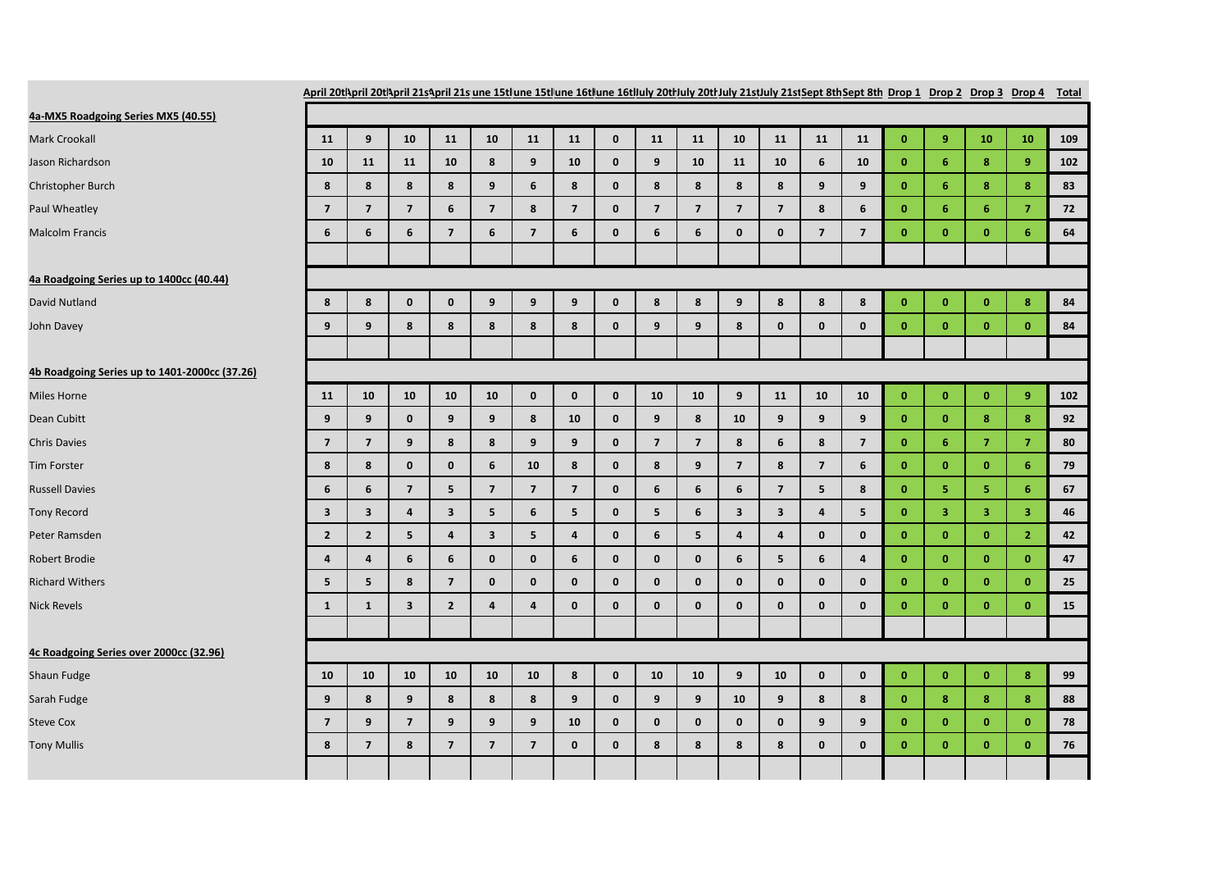| April 20tl\pril 20tl\pril 21s\pril 21s une 15tlune 15tlune 16tlune 16tluly 20tluly 20tluly 21stJuly 21stJept 8th Sept 8th Drop 1 Drop 2 Drop 3 Drop 4 Total |                         |                         |                         |                         |                         |                         |                         |              |                         |                         |                         |                         |                         |                         |              |                         |                         |                  |     |
|-------------------------------------------------------------------------------------------------------------------------------------------------------------|-------------------------|-------------------------|-------------------------|-------------------------|-------------------------|-------------------------|-------------------------|--------------|-------------------------|-------------------------|-------------------------|-------------------------|-------------------------|-------------------------|--------------|-------------------------|-------------------------|------------------|-----|
| 4a-MX5 Roadgoing Series MX5 (40.55)                                                                                                                         |                         |                         |                         |                         |                         |                         |                         |              |                         |                         |                         |                         |                         |                         |              |                         |                         |                  |     |
| Mark Crookall                                                                                                                                               | 11                      | 9                       | 10                      | 11                      | 10                      | 11                      | 11                      | $\mathbf 0$  | 11                      | 11                      | 10                      | 11                      | 11                      | 11                      | $\mathbf{0}$ | 9                       | 10                      | 10               | 109 |
| Jason Richardson                                                                                                                                            | 10                      | 11                      | 11                      | 10                      | 8                       | 9                       | 10                      | $\mathbf{0}$ | 9                       | 10                      | 11                      | 10                      | 6                       | 10                      | $\mathbf{0}$ | 6                       | 8                       | 9                | 102 |
| Christopher Burch                                                                                                                                           | 8                       | 8                       | 8                       | 8                       | 9                       | 6                       | 8                       | $\mathbf{0}$ | 8                       | 8                       | 8                       | 8                       | 9                       | 9                       | $\mathbf{0}$ | 6                       | 8                       | $\bf{8}$         | 83  |
| Paul Wheatley                                                                                                                                               | $\overline{\mathbf{z}}$ | $\overline{7}$          | $\overline{7}$          | 6                       | $\overline{\mathbf{z}}$ | 8                       | $\overline{7}$          | $\mathbf 0$  | $\overline{7}$          | $\overline{7}$          | $\overline{7}$          | $\overline{7}$          | 8                       | 6                       | $\bf{0}$     | 6                       | 6                       | $\overline{7}$   | 72  |
| <b>Malcolm Francis</b>                                                                                                                                      | 6                       | 6                       | 6                       | $\overline{\mathbf{z}}$ | 6                       | $\overline{\mathbf{z}}$ | $\boldsymbol{6}$        | $\mathbf 0$  | $6\phantom{1}$          | $\boldsymbol{6}$        | 0                       | $\mathbf 0$             | $\overline{\mathbf{z}}$ | $\overline{\mathbf{z}}$ | $\mathbf{0}$ | $\bf{0}$                | $\mathbf{0}$            | $6\phantom{1}$   | 64  |
| 4a Roadgoing Series up to 1400cc (40.44)                                                                                                                    |                         |                         |                         |                         |                         |                         |                         |              |                         |                         |                         |                         |                         |                         |              |                         |                         |                  |     |
| David Nutland                                                                                                                                               | 8                       | 8                       | $\mathbf 0$             | $\mathbf 0$             | 9                       | $\boldsymbol{9}$        | 9                       | $\mathbf 0$  | 8                       | 8                       | 9                       | 8                       | 8                       | 8                       | $\bf{0}$     | $\mathbf{0}$            | $\bullet$               | 8                | 84  |
|                                                                                                                                                             | 9                       | 9                       | 8                       | 8                       | 8                       | 8                       | 8                       | $\mathbf{0}$ | $\boldsymbol{9}$        | 9                       | 8                       | $\mathbf{0}$            | $\mathbf{0}$            | $\mathbf{0}$            | $\mathbf{0}$ | $\mathbf{0}$            | $\mathbf{0}$            | $\mathbf{0}$     | 84  |
| John Davey                                                                                                                                                  |                         |                         |                         |                         |                         |                         |                         |              |                         |                         |                         |                         |                         |                         |              |                         |                         |                  |     |
| 4b Roadgoing Series up to 1401-2000cc (37.26)                                                                                                               |                         |                         |                         |                         |                         |                         |                         |              |                         |                         |                         |                         |                         |                         |              |                         |                         |                  |     |
| Miles Horne                                                                                                                                                 | 11                      | 10                      | 10                      | 10                      | 10                      | $\pmb{0}$               | $\mathbf 0$             | $\mathbf 0$  | 10                      | 10                      | 9                       | 11                      | 10                      | 10                      | $\bf{0}$     | $\mathbf{0}$            | $\mathbf{0}$            | $\boldsymbol{9}$ | 102 |
| Dean Cubitt                                                                                                                                                 | 9                       | 9                       | $\mathbf{0}$            | 9                       | 9                       | 8                       | 10                      | $\mathbf{0}$ | 9                       | 8                       | 10                      | 9                       | 9                       | 9                       | $\mathbf{0}$ | $\mathbf{0}$            | 8                       | 8                | 92  |
| <b>Chris Davies</b>                                                                                                                                         | $\overline{\mathbf{z}}$ | $\overline{\mathbf{z}}$ | 9                       | 8                       | 8                       | 9                       | 9                       | $\mathbf 0$  | $\overline{\mathbf{z}}$ | $\overline{\mathbf{z}}$ | 8                       | 6                       | 8                       | $\overline{\mathbf{z}}$ | $\mathbf{0}$ | 6                       | $\overline{7}$          | $\overline{7}$   | 80  |
| <b>Tim Forster</b>                                                                                                                                          | 8                       | 8                       | $\mathbf{0}$            | $\mathbf 0$             | 6                       | 10                      | 8                       | $\mathbf{0}$ | 8                       | 9                       | $\overline{7}$          | 8                       | $\overline{\mathbf{z}}$ | 6                       | $\mathbf{0}$ | $\mathbf{0}$            | $\mathbf{0}$            | 6                | 79  |
| <b>Russell Davies</b>                                                                                                                                       | 6                       | 6                       | $\overline{\mathbf{z}}$ | 5                       | $\overline{\mathbf{z}}$ | $\overline{\mathbf{z}}$ | $\overline{\mathbf{z}}$ | $\pmb{0}$    | $\bf 6$                 | 6                       | 6                       | $\overline{\mathbf{z}}$ | 5                       | 8                       | $\mathbf{0}$ | 5                       | 5                       | $6\phantom{1}$   | 67  |
| <b>Tony Record</b>                                                                                                                                          | $\overline{\mathbf{3}}$ | $\overline{\mathbf{3}}$ | $\overline{4}$          | $\overline{\mathbf{3}}$ | 5                       | 6                       | 5                       | $\mathbf{0}$ | 5 <sup>5</sup>          | 6                       | $\overline{\mathbf{3}}$ | $\overline{\mathbf{3}}$ | $\overline{4}$          | 5                       | $\mathbf{0}$ | $\overline{\mathbf{3}}$ | $\overline{\mathbf{3}}$ | 3                | 46  |
| Peter Ramsden                                                                                                                                               | $\overline{2}$          | $\overline{2}$          | 5                       | $\overline{\mathbf{a}}$ | 3                       | 5                       | $\overline{\mathbf{a}}$ | $\mathbf 0$  | 6                       | 5                       | 4                       | $\overline{\mathbf{4}}$ | $\mathbf{0}$            | $\mathbf 0$             | $\mathbf{0}$ | $\mathbf{0}$            | $\mathbf{0}$            | $\overline{2}$   | 42  |
| Robert Brodie                                                                                                                                               | 4                       | 4                       | 6                       | 6                       | $\mathbf 0$             | $\mathbf 0$             | 6                       | $\mathbf{0}$ | $\mathbf 0$             | $\mathbf 0$             | 6                       | 5                       | 6                       | $\overline{\mathbf{4}}$ | $\mathbf{0}$ | $\mathbf{0}$            | $\mathbf{0}$            | $\mathbf{0}$     | 47  |
| <b>Richard Withers</b>                                                                                                                                      | 5                       | 5                       | 8                       | $\overline{7}$          | $\mathbf{0}$            | $\mathbf{0}$            | $\mathbf 0$             | $\mathbf{0}$ | $\mathbf 0$             | $\mathbf{0}$            | 0                       | $\mathbf{0}$            | $\mathbf{0}$            | $\mathbf{0}$            | $\mathbf{0}$ | $\mathbf{0}$            | $\mathbf{0}$            | $\mathbf{0}$     | 25  |
| <b>Nick Revels</b>                                                                                                                                          | $\mathbf{1}$            | $\mathbf{1}$            | $\overline{\mathbf{3}}$ | $\overline{2}$          | $\overline{4}$          | $\overline{\mathbf{4}}$ | $\mathbf{0}$            | $\mathbf{0}$ | $\mathbf 0$             | $\mathbf{0}$            | $\mathbf{0}$            | $\mathbf{0}$            | $\mathbf{0}$            | $\mathbf{0}$            | $\mathbf{0}$ | $\mathbf{0}$            | $\mathbf{0}$            | $\mathbf{0}$     | 15  |
|                                                                                                                                                             |                         |                         |                         |                         |                         |                         |                         |              |                         |                         |                         |                         |                         |                         |              |                         |                         |                  |     |
| 4c Roadgoing Series over 2000cc (32.96)                                                                                                                     |                         |                         |                         |                         |                         |                         |                         |              |                         |                         |                         |                         |                         |                         |              |                         |                         |                  |     |
| Shaun Fudge                                                                                                                                                 | 10                      | 10                      | 10                      | 10                      | 10                      | 10                      | 8                       | $\mathbf 0$  | 10                      | 10                      | 9                       | 10                      | $\mathbf{0}$            | $\mathbf 0$             | $\mathbf{0}$ | $\mathbf{0}$            | $\mathbf{0}$            | 8                | 99  |
| Sarah Fudge                                                                                                                                                 | 9                       | 8                       | 9                       | 8                       | 8                       | 8                       | 9                       | $\mathbf 0$  | 9                       | 9                       | 10                      | 9                       | 8                       | 8                       | $\bf{0}$     | 8                       | 8                       | 8                | 88  |
| <b>Steve Cox</b>                                                                                                                                            | $\overline{7}$          | 9                       | $\overline{7}$          | 9                       | 9                       | 9                       | 10                      | $\mathbf 0$  | $\mathbf 0$             | $\mathbf 0$             | 0                       | $\mathbf 0$             | 9                       | 9                       | $\bf{0}$     | $\mathbf{0}$            | $\mathbf{0}$            | $\mathbf 0$      | 78  |
| <b>Tony Mullis</b>                                                                                                                                          | 8                       | $\overline{7}$          | 8                       | $\overline{\mathbf{z}}$ | $\overline{\mathbf{z}}$ | $\overline{\mathbf{z}}$ | $\pmb{0}$               | $\mathbf{0}$ | $\bf8$                  | 8                       | 8                       | 8                       | $\mathbf{0}$            | $\mathbf 0$             | $\mathbf{0}$ | $\pmb{0}$               | $\mathbf 0$             | $\pmb{0}$        | 76  |
|                                                                                                                                                             |                         |                         |                         |                         |                         |                         |                         |              |                         |                         |                         |                         |                         |                         |              |                         |                         |                  |     |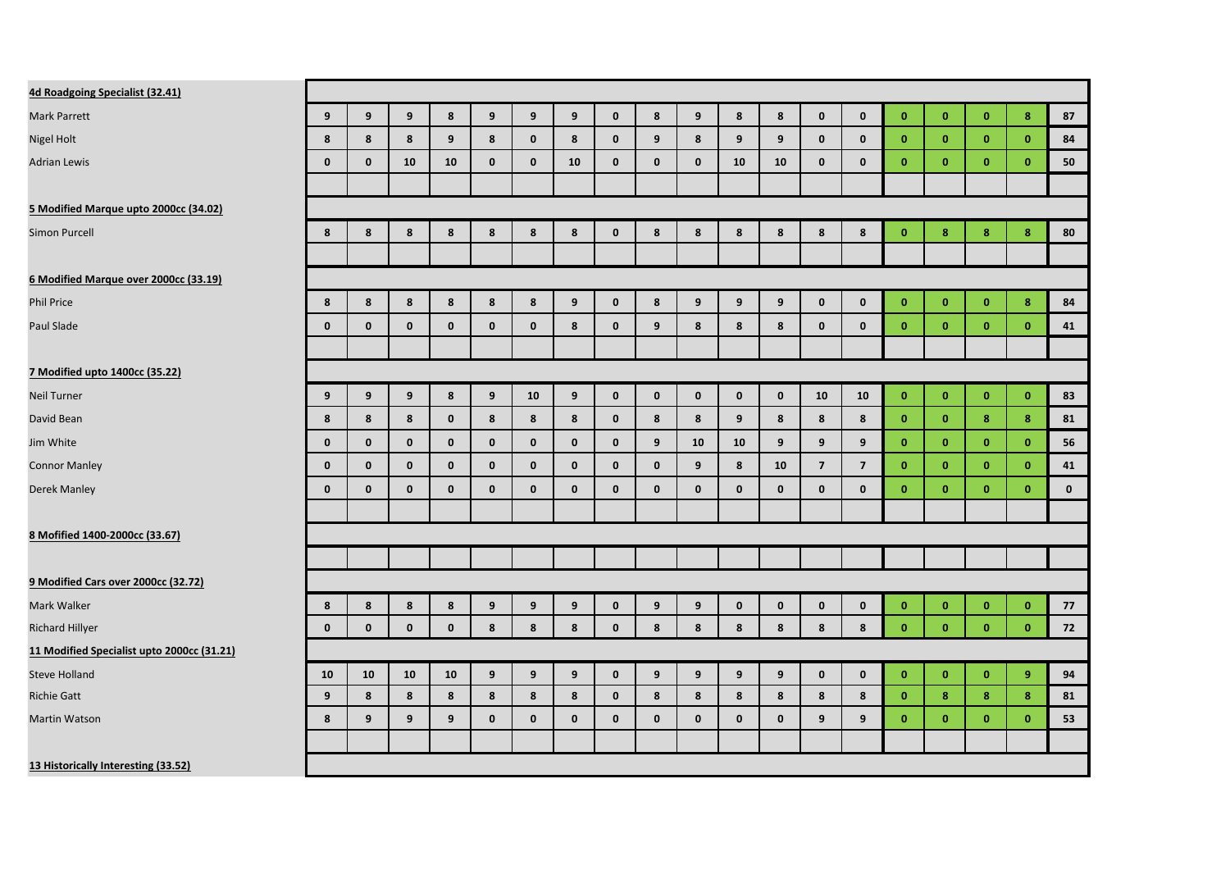| 4d Roadgoing Specialist (32.41)            |             |              |              |              |              |                  |             |              |                  |              |              |              |                         |                |              |              |              |                  |             |
|--------------------------------------------|-------------|--------------|--------------|--------------|--------------|------------------|-------------|--------------|------------------|--------------|--------------|--------------|-------------------------|----------------|--------------|--------------|--------------|------------------|-------------|
| Mark Parrett                               | 9           | 9            | 9            | 8            | 9            | 9                | 9           | $\mathbf{0}$ | $\boldsymbol{8}$ | 9            | 8            | 8            | $\mathbf 0$             | $\mathbf 0$    | $\mathbf{0}$ | $\mathbf{0}$ | $\mathbf{0}$ | 8                | 87          |
| Nigel Holt                                 | 8           | 8            | 8            | 9            | 8            | $\mathbf{0}$     | 8           | $\mathbf{0}$ | 9                | 8            | 9            | 9            | $\mathbf 0$             | $\mathbf{0}$   | $\mathbf{0}$ | $\mathbf{0}$ | $\mathbf{0}$ | $\mathbf{0}$     | 84          |
| <b>Adrian Lewis</b>                        | $\mathbf 0$ | $\mathbf 0$  | 10           | 10           | $\mathbf 0$  | $\mathbf 0$      | 10          | $\mathbf 0$  | $\pmb{0}$        | $\mathbf 0$  | 10           | 10           | $\mathbf 0$             | $\mathbf 0$    | $\mathbf{0}$ | $\bf{0}$     | $\mathbf{0}$ | $\mathbf{0}$     | 50          |
|                                            |             |              |              |              |              |                  |             |              |                  |              |              |              |                         |                |              |              |              |                  |             |
| 5 Modified Marque upto 2000cc (34.02)      |             |              |              |              |              |                  |             |              |                  |              |              |              |                         |                |              |              |              |                  |             |
| <b>Simon Purcell</b>                       | 8           | 8            | 8            | 8            | 8            | 8                | 8           | $\mathbf 0$  | 8                | 8            | 8            | 8            | 8                       | 8              | $\mathbf{0}$ | 8            | 8            | $\boldsymbol{8}$ | 80          |
|                                            |             |              |              |              |              |                  |             |              |                  |              |              |              |                         |                |              |              |              |                  |             |
| 6 Modified Marque over 2000cc (33.19)      |             |              |              |              |              |                  |             |              |                  |              |              |              |                         |                |              |              |              |                  |             |
| Phil Price                                 | 8           | 8            | 8            | 8            | 8            | 8                | 9           | $\mathbf{0}$ | 8                | 9            | 9            | 9            | $\mathbf 0$             | $\mathbf 0$    | $\mathbf{0}$ | $\mathbf{0}$ | $\mathbf{0}$ | 8                | 84          |
| Paul Slade                                 | $\mathbf 0$ | $\mathbf{0}$ | $\mathbf{0}$ | $\mathbf 0$  | $\mathbf 0$  | $\mathbf 0$      | 8           | $\mathbf{0}$ | 9                | 8            | 8            | 8            | $\mathbf 0$             | $\mathbf{0}$   | $\mathbf{0}$ | $\mathbf{0}$ | $\mathbf{0}$ | $\mathbf{0}$     | 41          |
|                                            |             |              |              |              |              |                  |             |              |                  |              |              |              |                         |                |              |              |              |                  |             |
| 7 Modified upto 1400cc (35.22)             |             |              |              |              |              |                  |             |              |                  |              |              |              |                         |                |              |              |              |                  |             |
| Neil Turner                                | 9           | 9            | 9            | 8            | 9            | 10               | 9           | $\mathbf{0}$ | $\mathbf{0}$     | $\mathbf{0}$ | $\mathbf 0$  | $\mathbf 0$  | 10                      | 10             | $\mathbf{0}$ | $\mathbf{0}$ | $\mathbf{0}$ | $\mathbf{0}$     | 83          |
| David Bean                                 | 8           | 8            | 8            | $\mathbf 0$  | 8            | 8                | 8           | $\mathbf 0$  | 8                | 8            | 9            | 8            | 8                       | 8              | $\mathbf{0}$ | $\mathbf{0}$ | 8            | 8                | 81          |
| Jim White                                  | $\mathbf 0$ | $\mathbf 0$  | $\mathbf 0$  | $\mathbf 0$  | $\mathbf 0$  | $\mathbf 0$      | $\mathbf 0$ | $\mathbf 0$  | 9                | 10           | 10           | 9            | 9                       | 9              | $\mathbf{0}$ | $\mathbf{0}$ | $\mathbf{0}$ | $\mathbf{0}$     | 56          |
| <b>Connor Manley</b>                       | $\mathbf 0$ | $\mathbf 0$  | $\mathbf 0$  | $\mathbf 0$  | $\pmb{0}$    | $\mathbf 0$      | $\pmb{0}$   | $\mathbf 0$  | $\pmb{0}$        | 9            | 8            | 10           | $\overline{\mathbf{z}}$ | $\overline{7}$ | $\mathbf{0}$ | $\mathbf{0}$ | $\mathbf{0}$ | $\mathbf{0}$     | 41          |
| Derek Manley                               | $\mathbf 0$ | $\mathbf{0}$ | $\mathbf{0}$ | $\mathbf{0}$ | $\mathbf{0}$ | $\mathbf 0$      | $\mathbf 0$ | $\mathbf 0$  | $\mathbf{0}$     | $\mathbf 0$  | $\mathbf 0$  | $\mathbf 0$  | $\mathbf 0$             | $\mathbf{0}$   | $\mathbf{0}$ | $\mathbf{0}$ | $\mathbf{0}$ | $\mathbf{0}$     | $\mathbf 0$ |
|                                            |             |              |              |              |              |                  |             |              |                  |              |              |              |                         |                |              |              |              |                  |             |
| 8 Mofified 1400-2000cc (33.67)             |             |              |              |              |              |                  |             |              |                  |              |              |              |                         |                |              |              |              |                  |             |
|                                            |             |              |              |              |              |                  |             |              |                  |              |              |              |                         |                |              |              |              |                  |             |
| 9 Modified Cars over 2000cc (32.72)        |             |              |              |              |              |                  |             |              |                  |              |              |              |                         |                |              |              |              |                  |             |
| Mark Walker                                | 8           | 8            | 8            | 8            | 9            | $\boldsymbol{9}$ | 9           | $\mathbf 0$  | 9                | 9            | $\mathbf 0$  | $\mathbf 0$  | $\mathbf 0$             | $\mathbf 0$    | $\mathbf{0}$ | $\bf{0}$     | $\mathbf{0}$ | $\mathbf{0}$     | 77          |
| Richard Hillyer                            | $\mathbf 0$ | $\mathbf 0$  | $\mathbf 0$  | $\mathbf 0$  | 8            | 8                | 8           | $\mathbf 0$  | 8                | 8            | 8            | 8            | 8                       | 8              | $\mathbf{0}$ | $\bf{0}$     | $\mathbf{0}$ | $\mathbf{0}$     | 72          |
| 11 Modified Specialist upto 2000cc (31.21) |             |              |              |              |              |                  |             |              |                  |              |              |              |                         |                |              |              |              |                  |             |
| Steve Holland                              | 10          | 10           | 10           | 10           | 9            | 9                | 9           | $\mathbf 0$  | 9                | 9            | 9            | 9            | $\mathbf 0$             | $\mathbf 0$    | $\mathbf{0}$ | $\mathbf{0}$ | $\mathbf{0}$ | 9                | 94          |
| Richie Gatt                                | 9           | 8            | 8            | 8            | 8            | 8                | 8           | $\mathbf 0$  | 8                | 8            | 8            | 8            | 8                       | 8              | $\mathbf{0}$ | 8            | 8            | 8                | 81          |
| Martin Watson                              | 8           | 9            | 9            | 9            | $\mathbf{0}$ | $\mathbf{0}$     | $\mathbf 0$ | $\mathbf{0}$ | $\pmb{0}$        | $\mathbf{0}$ | $\mathbf{0}$ | $\mathbf{0}$ | 9                       | 9              | $\mathbf{0}$ | $\mathbf{0}$ | $\mathbf{0}$ | $\mathbf{0}$     | 53          |
|                                            |             |              |              |              |              |                  |             |              |                  |              |              |              |                         |                |              |              |              |                  |             |
| 13 Historically Interesting (33.52)        |             |              |              |              |              |                  |             |              |                  |              |              |              |                         |                |              |              |              |                  |             |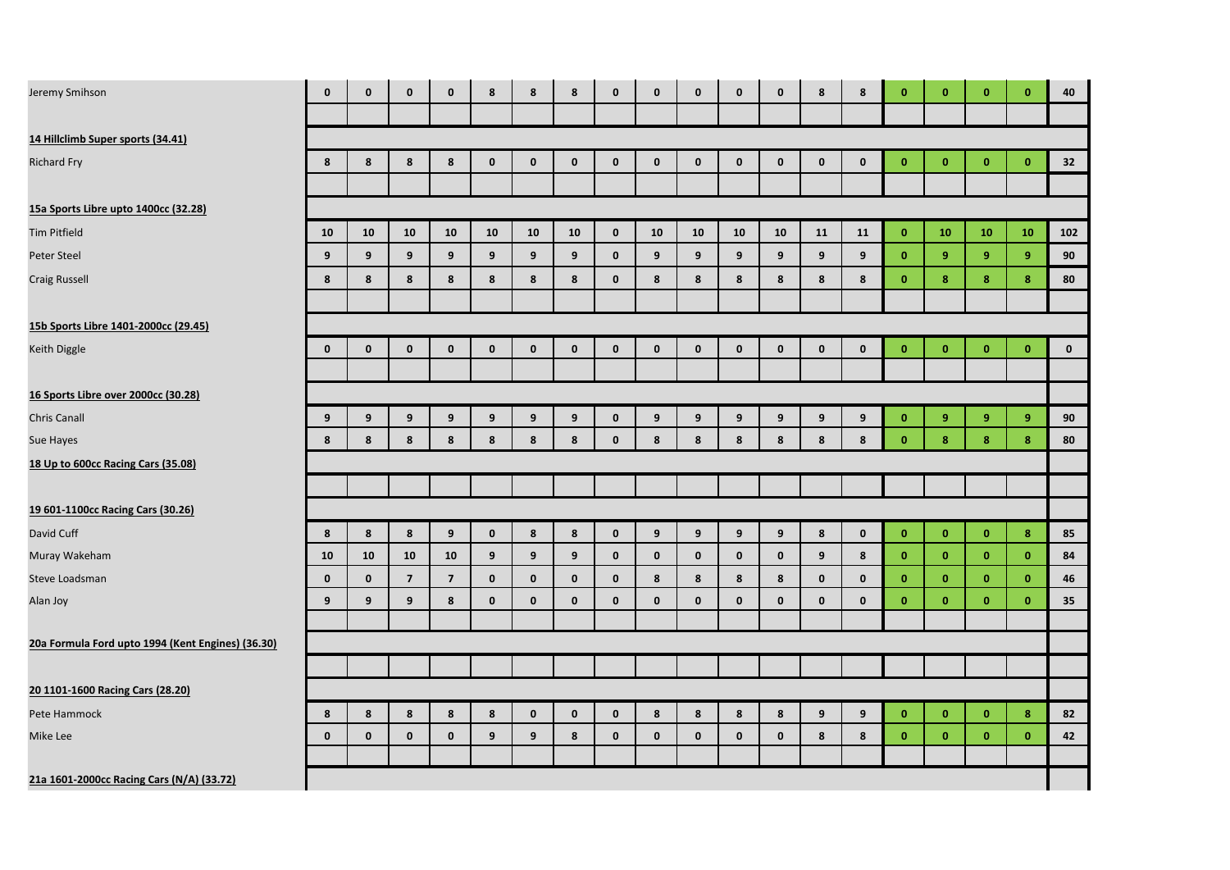| Jeremy Smihson                                    | $\mathbf{0}$ | $\mathbf{0}$ | $\mathbf{0}$   | $\mathbf{0}$            | 8            | 8            | 8            | $\mathbf{0}$ | $\mathbf{0}$ | $\mathbf{0}$ | $\mathbf 0$      | $\mathbf{0}$ | 8              | 8            | $\mathbf{0}$ | $\mathbf{0}$     | $\mathbf{0}$ | $\mathbf{0}$   | 40        |
|---------------------------------------------------|--------------|--------------|----------------|-------------------------|--------------|--------------|--------------|--------------|--------------|--------------|------------------|--------------|----------------|--------------|--------------|------------------|--------------|----------------|-----------|
|                                                   |              |              |                |                         |              |              |              |              |              |              |                  |              |                |              |              |                  |              |                |           |
| 14 Hillclimb Super sports (34.41)                 |              |              |                |                         |              |              |              |              |              |              |                  |              |                |              |              |                  |              |                |           |
| <b>Richard Fry</b>                                | 8            | 8            | 8              | 8                       | $\mathbf{0}$ | $\mathbf{0}$ | $\mathbf{0}$ | $\mathbf 0$  | $\mathbf 0$  | $\mathbf 0$  | $\mathbf 0$      | $\mathbf 0$  | $\mathbf 0$    | $\mathbf 0$  | $\mathbf{0}$ | $\bullet$        | $\mathbf{0}$ | $\mathbf{0}$   | 32        |
|                                                   |              |              |                |                         |              |              |              |              |              |              |                  |              |                |              |              |                  |              |                |           |
| 15a Sports Libre upto 1400cc (32.28)              |              |              |                |                         |              |              |              |              |              |              |                  |              |                |              |              |                  |              |                |           |
| <b>Tim Pitfield</b>                               | 10           | 10           | 10             | 10                      | 10           | 10           | 10           | $\mathbf 0$  | ${\bf 10}$   | 10           | 10               | 10           | 11             | 11           | $\mathbf{0}$ | 10               | 10           | 10             | 102       |
| Peter Steel                                       | 9            | 9            | 9 <sup>°</sup> | 9 <sup>°</sup>          | 9            | 9            | 9            | $\mathbf 0$  | 9            | 9            | 9                | 9            | 9              | 9            | $\mathbf{0}$ | 9                | 9            | $\overline{9}$ | 90        |
| <b>Craig Russell</b>                              | 8            | 8            | 8              | 8                       | 8            | 8            | 8            | $\mathbf{0}$ | 8            | 8            | $\boldsymbol{8}$ | 8            | $8\phantom{1}$ | 8            | $\mathbf{0}$ | $\boldsymbol{8}$ | 8            | $\bf{8}$       | 80        |
|                                                   |              |              |                |                         |              |              |              |              |              |              |                  |              |                |              |              |                  |              |                |           |
| 15b Sports Libre 1401-2000cc (29.45)              |              |              |                |                         |              |              |              |              |              |              |                  |              |                |              |              |                  |              |                |           |
| Keith Diggle                                      | $\mathbf 0$  | $\mathbf 0$  | $\mathbf 0$    | $\mathbf 0$             | $\mathbf 0$  | $\mathbf 0$  | $\mathbf 0$  | $\mathbf 0$  | $\mathbf 0$  | $\mathbf 0$  | $\mathbf 0$      | $\mathbf 0$  | $\mathbf 0$    | $\mathbf 0$  | $\mathbf{0}$ | $\mathbf{0}$     | $\bf{0}$     | $\mathbf{0}$   | $\pmb{0}$ |
|                                                   |              |              |                |                         |              |              |              |              |              |              |                  |              |                |              |              |                  |              |                |           |
| 16 Sports Libre over 2000cc (30.28)               |              |              |                |                         |              |              |              |              |              |              |                  |              |                |              |              |                  |              |                |           |
| <b>Chris Canall</b>                               | 9            | 9            | 9              | 9                       | 9            | 9            | 9            | $\mathbf 0$  | 9            | 9            | 9                | 9            | 9              | 9            | $\mathbf{0}$ | 9                | 9            | $\overline{9}$ | 90        |
| Sue Hayes                                         | 8            | 8            | 8              | 8                       | 8            | 8            | 8            | $\mathbf{0}$ | 8            | 8            | 8                | 8            | 8              | 8            | $\mathbf{0}$ | $\bf{8}$         | 8            | $\bf{8}$       | 80        |
| 18 Up to 600cc Racing Cars (35.08)                |              |              |                |                         |              |              |              |              |              |              |                  |              |                |              |              |                  |              |                |           |
|                                                   |              |              |                |                         |              |              |              |              |              |              |                  |              |                |              |              |                  |              |                |           |
| 19 601-1100cc Racing Cars (30.26)                 |              |              |                |                         |              |              |              |              |              |              |                  |              |                |              |              |                  |              |                |           |
| David Cuff                                        | 8            | 8            | 8              | 9                       | $\mathbf 0$  | 8            | 8            | $\mathbf 0$  | 9            | 9            | 9                | 9            | 8              | $\mathbf 0$  | $\mathbf{0}$ | $\mathbf{0}$     | $\mathbf{0}$ | 8              | 85        |
| Muray Wakeham                                     | 10           | 10           | 10             | ${\bf 10}$              | 9            | 9            | 9            | $\mathbf 0$  | $\mathbf 0$  | $\mathbf 0$  | $\mathbf 0$      | $\mathbf 0$  | 9              | 8            | $\mathbf{0}$ | $\mathbf{0}$     | $\bf{0}$     | $\mathbf{0}$   | 84        |
| Steve Loadsman                                    | $\mathbf{0}$ | $\mathbf 0$  | $\overline{7}$ | $\overline{\mathbf{z}}$ | $\mathbf{0}$ | $\mathbf{0}$ | $\mathbf 0$  | $\mathbf 0$  | 8            | 8            | 8                | 8            | $\mathbf 0$    | $\mathbf{0}$ | $\mathbf{0}$ | $\mathbf{0}$     | $\bf{0}$     | $\mathbf{0}$   | 46        |
| Alan Joy                                          | 9            | 9            | 9              | 8                       | $\mathbf 0$  | $\mathbf{0}$ | $\mathbf 0$  | $\mathbf 0$  | $\mathbf 0$  | $\mathbf 0$  | $\mathbf 0$      | $\mathbf 0$  | $\mathbf 0$    | $\mathbf 0$  | $\mathbf{0}$ | $\mathbf{0}$     | $\mathbf{0}$ | $\mathbf{0}$   | 35        |
|                                                   |              |              |                |                         |              |              |              |              |              |              |                  |              |                |              |              |                  |              |                |           |
| 20a Formula Ford upto 1994 (Kent Engines) (36.30) |              |              |                |                         |              |              |              |              |              |              |                  |              |                |              |              |                  |              |                |           |
|                                                   |              |              |                |                         |              |              |              |              |              |              |                  |              |                |              |              |                  |              |                |           |
| 20 1101-1600 Racing Cars (28.20)                  |              |              |                |                         |              |              |              |              |              |              |                  |              |                |              |              |                  |              |                |           |
| Pete Hammock                                      | 8            | 8            | 8              | 8                       | 8            | $\mathbf{0}$ | $\mathbf{0}$ | $\mathbf 0$  | 8            | 8            | 8                | 8            | 9              | 9            | $\mathbf{0}$ | $\mathbf{0}$     | $\mathbf{0}$ | $\bf{8}$       | 82        |
| Mike Lee                                          | $\mathbf 0$  | $\mathbf 0$  | $\mathbf 0$    | $\mathbf 0$             | 9            | 9            | 8            | $\mathbf 0$  | $\mathbf 0$  | $\mathbf 0$  | $\mathbf 0$      | $\mathbf 0$  | 8              | 8            | $\mathbf{0}$ | $\mathbf{0}$     | $\bf{0}$     | $\mathbf{0}$   | 42        |
| 21a 1601-2000cc Racing Cars (N/A) (33.72)         |              |              |                |                         |              |              |              |              |              |              |                  |              |                |              |              |                  |              |                |           |